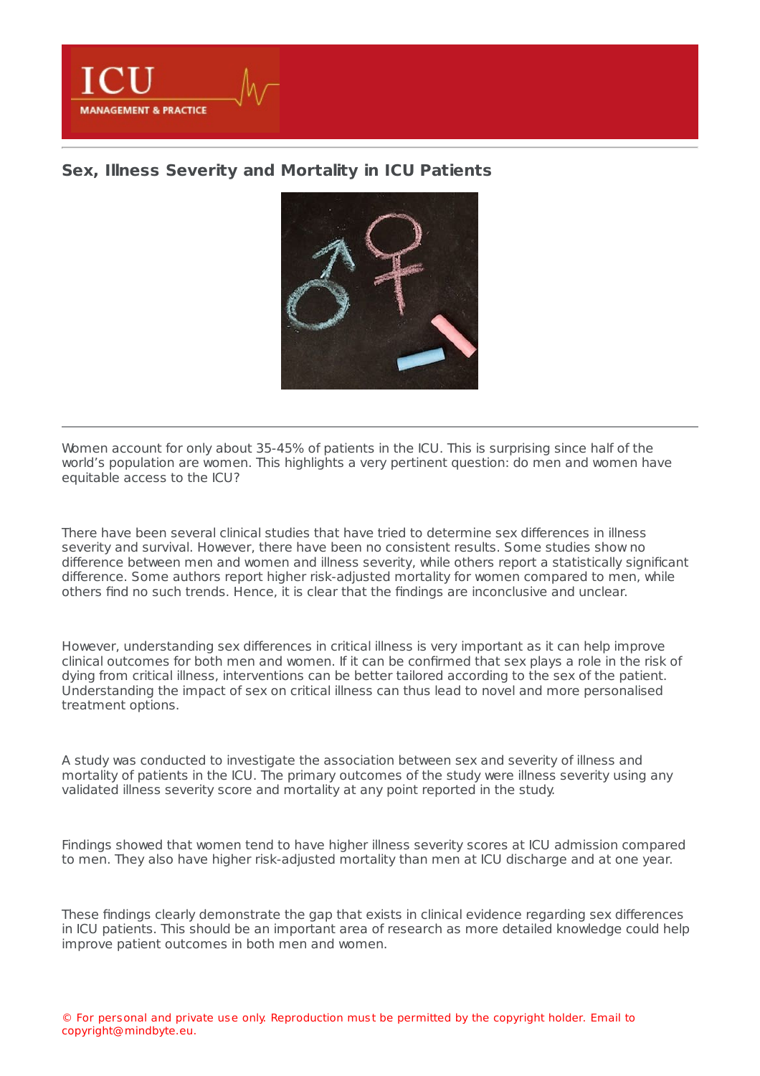

## **Sex, Illness Severity and [Mortality](https://healthmanagement.org/s/sex-illness-severity-and-mortality-in-icu-patients) in ICU Patients**



Women account for only about 35-45% of patients in the ICU. This is surprising since half of the world's population are women. This highlights a very pertinent question: do men and women have equitable access to the ICU?

There have been several clinical studies that have tried to determine sex differences in illness severity and survival. However, there have been no consistent results. Some studies show no difference between men and women and illness severity, while others report a statistically significant difference. Some authors report higher risk-adjusted mortality for women compared to men, while others find no such trends. Hence, it is clear that the findings are inconclusive and unclear.

However, understanding sex differences in critical illness is very important as it can help improve clinical outcomes for both men and women. If it can be confirmed that sex plays a role in the risk of dying from critical illness, interventions can be better tailored according to the sex of the patient. Understanding the impact of sex on critical illness can thus lead to novel and more personalised treatment options.

A study was conducted to investigate the association between sex and severity of illness and mortality of patients in the ICU. The primary outcomes of the study were illness severity using any validated illness severity score and mortality at any point reported in the study.

Findings showed that women tend to have higher illness severity scores at ICU admission compared to men. They also have higher risk-adjusted mortality than men at ICU discharge and at one year.

These findings clearly demonstrate the gap that exists in clinical evidence regarding sex differences in ICU patients. This should be an important area of research as more detailed knowledge could help improve patient outcomes in both men and women.